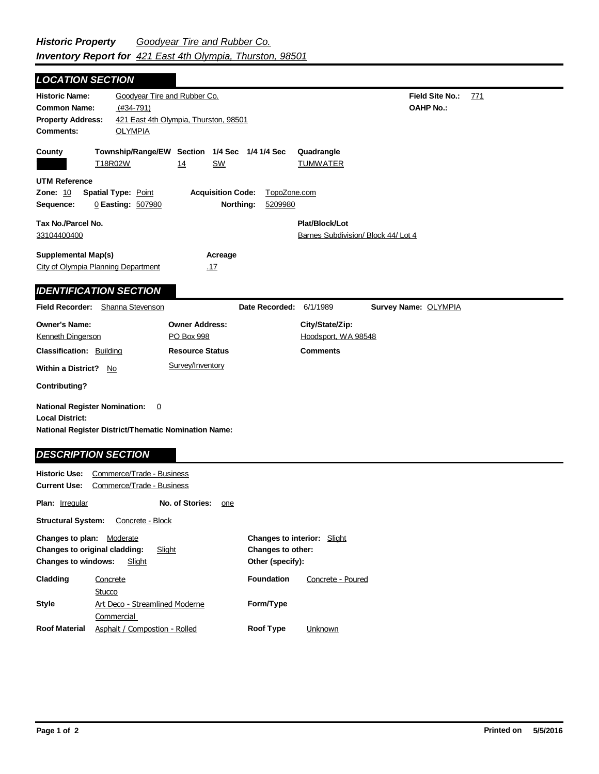Field Site No.: 771 **OAHP No.: Historic Name:** Goodyear Tire and Rubber Co. **Common Name:** (#34-791) **County Plat/Block/Lot** Barnes Subdivision/ Block 44/ Lot 4 **Acreage** .17 **Supplemental Map(s)** City of Olympia Planning Department **Tax No./Parcel No.** 33104400400 **Property Address:** 421 East 4th Olympia, Thurston, 98501 *LOCATION SECTION* **Comments:** OLYMPIA **Quadrangle UTM Reference Township/Range/EW Section 1/4 Sec 1/4 1/4 Sec Owner Address:** PO Box 998 **Field Recorder:** Shanna Stevenson **Owner's Name:** Kenneth Dingerson **City/State/Zip:** Hoodsport, WA 98548 **National Register District/Thematic Nomination Name: Local District: Date Recorded:** 6/1/1989 **Classification:** Building **Within a District?** No **Contributing? Comments National Register Nomination:** 0 **Historic Use:** Commerce/Trade - Business **Resource Status Survey Name:** OLYMPIA *IDENTIFICATION SECTION DESCRIPTION SECTION* T18R02W 14 SW TUMWATER **Zone:** 10 **Spatial Type:** Point **Acquisition Code:** TopoZone.com **Sequence:** 0 **Easting:** 507980 **Northing:** 5209980 Survey/Inventory

Plan: **Irregular Other (specify): Style Current Use:** Commerce/Trade - Business **Structural System:** Concrete - Block **No. of Stories:** one **Changes to plan:** Moderate **Changes to original cladding:** Slight **Changes to windows:** Slight **Changes to interior:** Slight **Changes to other: Cladding Roof Material Foundation Form/Type Roof Type** Art Deco - Streamlined Moderne **Commercial Concrete Stucco** Asphalt / Compostion - Rolled Concrete - Poured **Unknown**